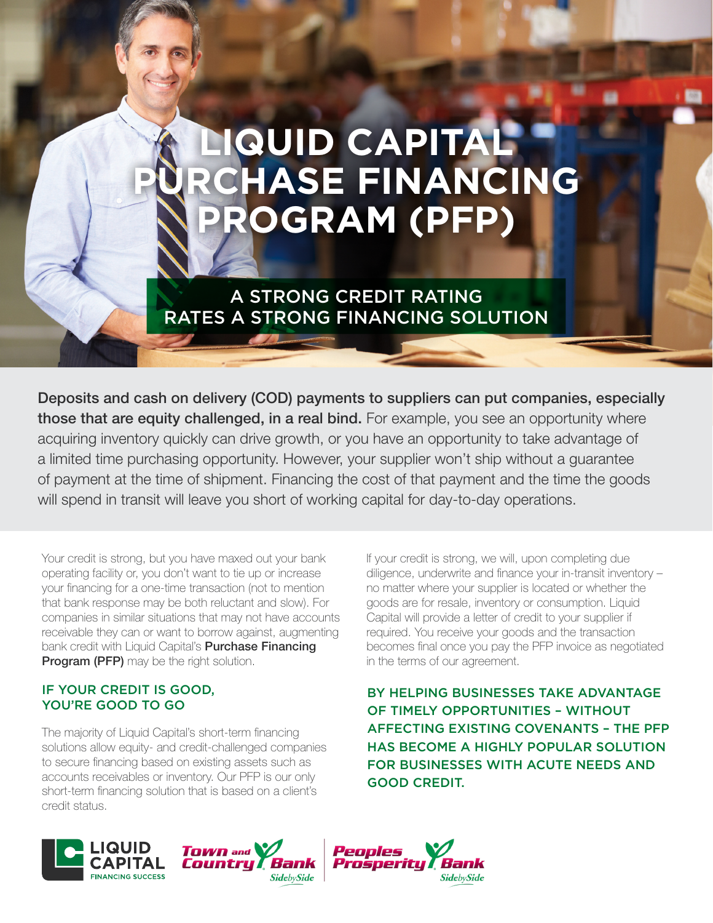# **QUID CAPITAL PHASE FINANCING PROGRAM (PFP)**

A STRONG CREDIT RATING RATES A STRONG FINANCING SOLUTION

Deposits and cash on delivery (COD) payments to suppliers can put companies, especially those that are equity challenged, in a real bind. For example, you see an opportunity where acquiring inventory quickly can drive growth, or you have an opportunity to take advantage of a limited time purchasing opportunity. However, your supplier won't ship without a guarantee of payment at the time of shipment. Financing the cost of that payment and the time the goods will spend in transit will leave you short of working capital for day-to-day operations.

Your credit is strong, but you have maxed out your bank operating facility or, you don't want to tie up or increase your financing for a one-time transaction (not to mention that bank response may be both reluctant and slow). For companies in similar situations that may not have accounts receivable they can or want to borrow against, augmenting bank credit with Liquid Capital's Purchase Financing **Program (PFP)** may be the right solution.

# IF YOUR CREDIT IS GOOD, YOU'RE GOOD TO GO

The majority of Liquid Capital's short-term financing solutions allow equity- and credit-challenged companies to secure financing based on existing assets such as accounts receivables or inventory. Our PFP is our only short-term financing solution that is based on a client's credit status.

If your credit is strong, we will, upon completing due diligence, underwrite and finance your in-transit inventory – no matter where your supplier is located or whether the goods are for resale, inventory or consumption. Liquid Capital will provide a letter of credit to your supplier if required. You receive your goods and the transaction becomes final once you pay the PFP invoice as negotiated in the terms of our agreement.

BY HELPING BUSINESSES TAKE ADVANTAGE OF TIMELY OPPORTUNITIES – WITHOUT AFFECTING EXISTING COVENANTS – THE PFP HAS BECOME A HIGHLY POPULAR SOLUTION FOR BUSINESSES WITH ACUTE NEEDS AND GOOD CREDIT.

**SidebySide**